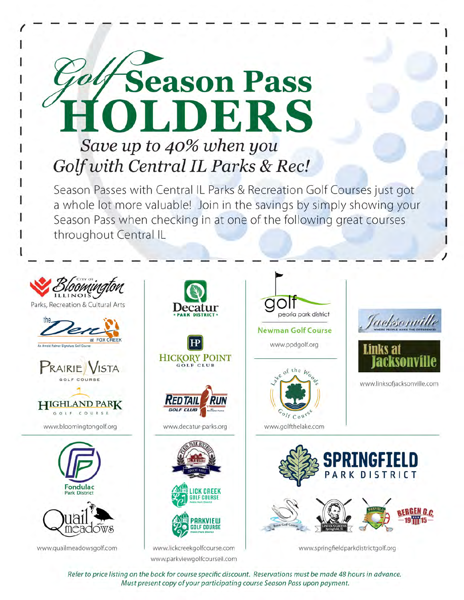

Season Passes with Central IL Parks & Recreation Golf Courses just got a whole lot more valuable! Join in the savings by simply showing your Season Pass when checking in at one of the following great courses throughout Central IL



Refer to price listing on the back for course specific discount. Reservations must be made 48 hours in advance. Must present copy of your participating course Season Pass upon payment.